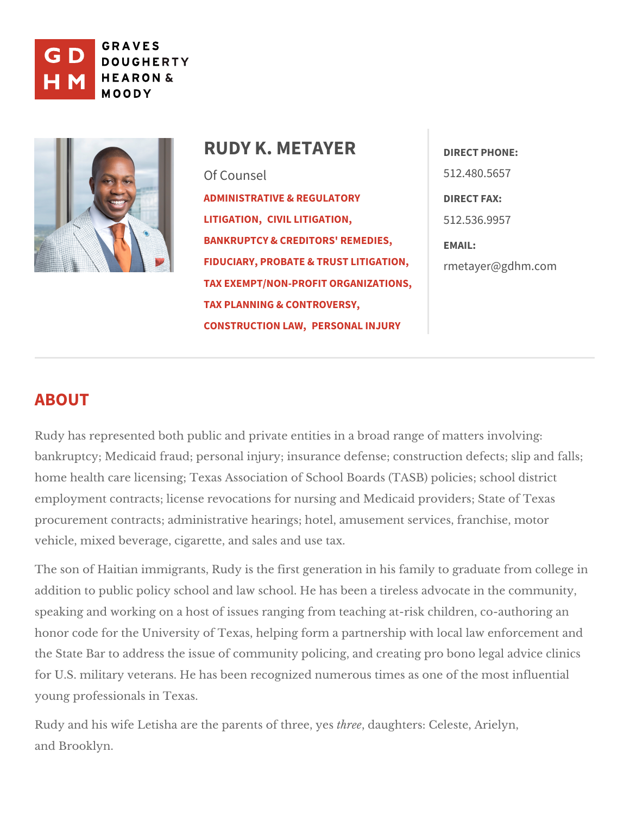

# RUDY K. METAYERRECT PHONE: Of Counsel [ADMINISTRATIVE & R](https://www.gdhm.com/practice-areas/administrative-regulatory-litigation/)EGULATORYRECT FAX: [LITIGAT](https://www.gdhm.com/practice-areas/administrative-regulatory-litigation/)ION, LITIGATION, [BANKRUPTCY & CREDITO](https://www.gdhm.com/practice-areas/bankruptcy-and-creditors-remedies/)RS' REMAIPLES, [FIDUCIARY, PROBATE & TR](https://www.gdhm.com/practice-areas/fiduciary-probate-trust-litigation/)UST<sub>r</sub> mdddefddyd h m.com [TAX EXEMPT/NON-PROFIT O](https://www.gdhm.com/practice-areas/tax-exemptnon-profit-organizations/)RGANIZATIONS, [TAX PLANNING & CO](https://www.gdhm.com/practice-areas/federal-tax-planning-controversy/)NTROVERSY, [CONSTRUCTI](https://www.gdhm.com/practice-areas/construction-law/)ON ERSONAL INJURY 512.480.5657 512.536.9957

# ABOUT

Rudy has represented both public and private entities in a broad range of ma bankruptcy; Medicaid fraud; personal injury; insurance defense; construction home health care licensing; Texas Association of School Boards (TASB) polic employment contracts; license revocations for nursing and Medicaid provider procurement contracts; administrative hearings; hotel, amusement services, f vehicle, mixed beverage, cigarette, usedt axales and

The son of Haitian immigrants, Rudy is the first generation in his family to g addition to public policy school and law school. He has been a tireless advoc speaking and working on a host of issues ranging from teaching at-risk child honor code for the University of Texas, helping form a partnership with local the State Bar to address the issue of community policing, and creating pro b for U.S. military veterans. He has been recognized numerous times as one of young professiom allexas.

Rudy and his wife Letisha are the parenths eperod tahungehete ryse: s Celeste, Arielyn, and Brooklyn.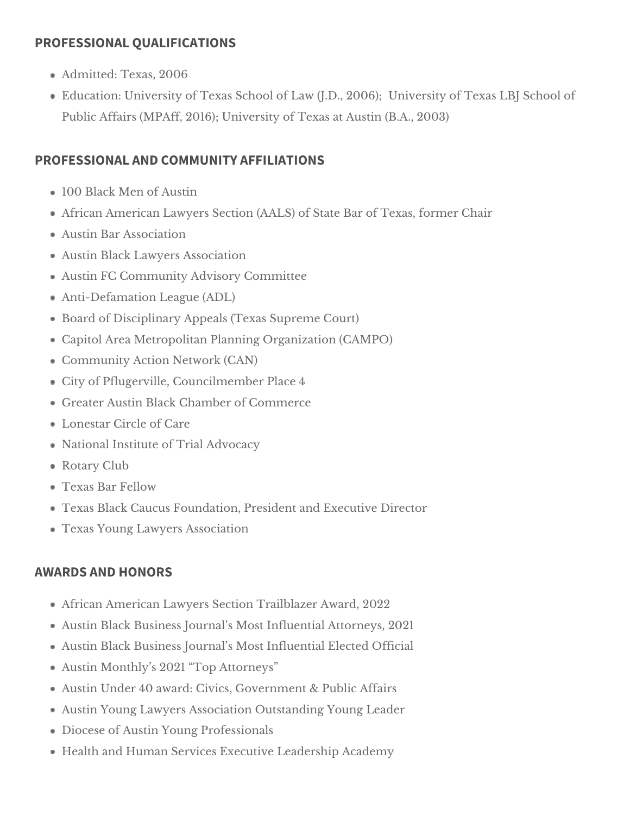### **PROFESSIONAL QUALIFICATIONS**

- Admitted: Texas, 2006
- Education: University of Texas School of Law (J.D., 2006); University of Texas LBJ School of Public Affairs (MPAff, 2016); University of Texas at Austin (B.A., 2003)

## **PROFESSIONAL AND COMMUNITY AFFILIATIONS**

- 100 Black Men of Austin
- African American Lawyers Section (AALS) of State Bar of Texas, former Chair
- Austin Bar Association
- Austin Black Lawyers Association
- Austin FC Community Advisory Committee
- Anti-Defamation League (ADL)
- Board of Disciplinary Appeals (Texas Supreme Court)
- Capitol Area Metropolitan Planning Organization (CAMPO)
- Community Action Network (CAN)
- City of Pflugerville, Councilmember Place 4
- Greater Austin Black Chamber of Commerce
- Lonestar Circle of Care
- National Institute of Trial Advocacy
- Rotary Club
- Texas Bar Fellow
- Texas Black Caucus Foundation, President and Executive Director
- Texas Young Lawyers Association

### **AWARDS AND HONORS**

- African American Lawyers Section Trailblazer Award, 2022
- Austin Black Business Journal's Most Influential Attorneys, 2021
- Austin Black Business Journal's Most Influential Elected Official
- Austin Monthly's 2021 "Top Attorneys"
- Austin Under 40 award: Civics, Government & Public Affairs
- Austin Young Lawyers Association Outstanding Young Leader
- Diocese of Austin Young Professionals
- Health and Human Services Executive Leadership Academy